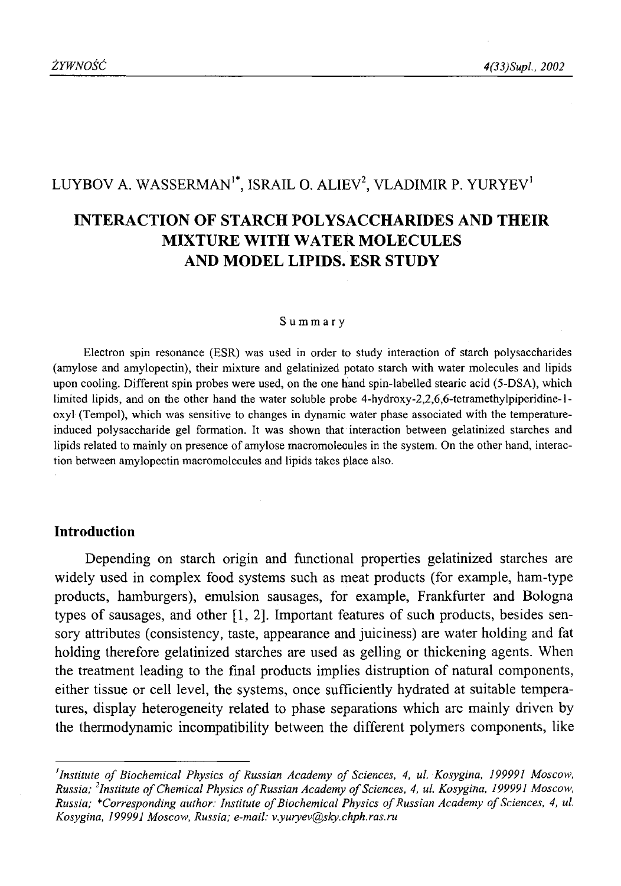# LUYBOV A. WASSERMAN<sup>1\*</sup>, ISRAIL O. ALIEV<sup>2</sup>, VLADIMIR P. YURYEV<sup>1</sup>

# **INTERACTION OF STARCH POLYSACCHARIDES AND THEIR MIXTURE WITH WATER MOLECULES AND MODEL LIPIDS. ESR STUDY**

#### Summary

Electron spin resonance (ESR) was used in order to study interaction of starch polysaccharides (amylose and amylopectin), their mixture and gelatinized potato starch with water molecules and lipids upon cooling. Different spin probes were used, on the one hand spin-labelled stearic acid (5-DSA), which limited lipids, and on the other hand the water soluble probe 4-hydroxy-2,2,6,6-tetramethylpiperidine-loxyl (Tempol), which was sensitive to changes in dynamic water phase associated with the temperatureinduced polysaccharide gel formation. It was shown that interaction between gelatinized starches and lipids related to mainly on presence of amylose macromolecules in the system. On the other hand, interaction between amylopectin macromolecules and lipids takes place also.

## **Introduction**

Depending on starch origin and functional properties gelatinized starches are widely used in complex food systems such as meat products (for example, ham-type products, hamburgers), emulsion sausages, for example, Frankfurter and Bologna types of sausages, and other [1, 2]. Important features of such products, besides sensory attributes (consistency, taste, appearance and juiciness) are water holding and fat holding therefore gelatinized starches are used as gelling or thickening agents. When the treatment leading to the final products implies distruption of natural components, either tissue or cell level, the systems, once sufficiently hydrated at suitable temperatures, display heterogeneity related to phase separations which are mainly driven by the thermodynamic incompatibility between the different polymers components, like

<sup>&</sup>lt;sup>1</sup>Institute of Biochemical Physics of Russian Academy of Sciences, 4, ul. Kosygina, 199991 Moscow, *Russia; <sup>2</sup>Institute of Chemical Physics of Russian Academy of Sciences, 4, ul. Kosygina, 199991 Moscow, Russia; \*Corresponding author: Institute of Biochemical Physics of Russian Academy of Sciences, 4, ul. Kosygina, 199991 Moscow, Russia; e-mail: [v.yuryev@sky.chph.ras.ru](mailto:v.yuryev@sky.chph.ras.ru)*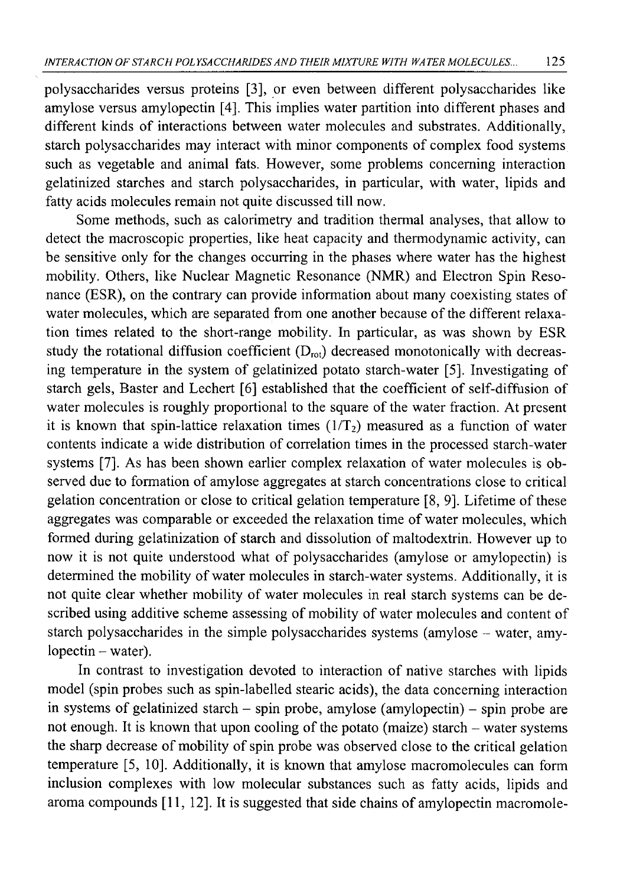polysaccharides versus proteins [3], or even between different polysaccharides like amylose versus amylopectin [4]. This implies water partition into different phases and different kinds of interactions between water molecules and substrates. Additionally, starch polysaccharides may interact with minor components of complex food systems such as vegetable and animal fats. However, some problems concerning interaction gelatinized starches and starch polysaccharides, in particular, with water, lipids and fatty acids molecules remain not quite discussed till now.

Some methods, such as calorimetry and tradition thermal analyses, that allow to detect the macroscopic properties, like heat capacity and thermodynamic activity, can be sensitive only for the changes occurring in the phases where water has the highest mobility. Others, like Nuclear Magnetic Resonance (NMR) and Electron Spin Resonance (ESR), on the contrary can provide information about many coexisting states of water molecules, which are separated from one another because of the different relaxation times related to the short-range mobility. In particular, as was shown by ESR study the rotational diffusion coefficient  $(D_{\text{rot}})$  decreased monotonically with decreasing temperature in the system of gelatinized potato starch-water [5]. Investigating of starch gels, Baster and Lechert [6] established that the coefficient of self-diffusion of water molecules is roughly proportional to the square of the water fraction. At present it is known that spin-lattice relaxation times  $(1/T_2)$  measured as a function of water contents indicate a wide distribution of correlation times in the processed starch-water systems [7]. As has been shown earlier complex relaxation of water molecules is observed due to formation of amylose aggregates at starch concentrations close to critical gelation concentration or close to critical gelation temperature [8, 9]. Lifetime of these aggregates was comparable or exceeded the relaxation time of water molecules, which formed during gelatinization of starch and dissolution of maltodextrin. However up to now it is not quite understood what of polysaccharides (amylose or amylopectin) is determined the mobility of water molecules in starch-water systems. Additionally, it is not quite clear whether mobility of water molecules in real starch systems can be described using additive scheme assessing of mobility of water molecules and content of starch polysaccharides in the simple polysaccharides systems (amylose – water, amy $lopectin - water)$ .

In contrast to investigation devoted to interaction of native starches with lipids model (spin probes such as spin-labelled stearic acids), the data concerning interaction in systems of gelatinized starch - spin probe, amylose (amylopectin) - spin probe are not enough. It is known that upon cooling of the potato (maize) starch - water systems the sharp decrease of mobility of spin probe was observed close to the critical gelation temperature [5, 10]. Additionally, it is known that amylose macromolecules can form inclusion complexes with low molecular substances such as fatty acids, lipids and aroma compounds [11, 12]. It is suggested that side chains of amylopectin macromole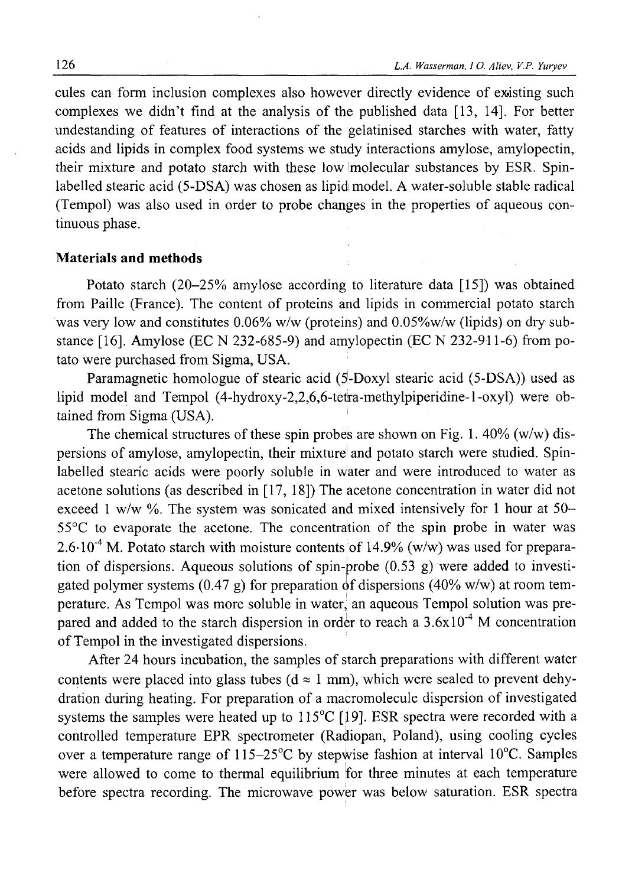cules can form inclusion complexes also however directly evidence of existing such complexes we didn't find at the analysis of the published data [13, 14]. For better undestanding of features of interactions of the gelatinised starches with water, fatty acids and lipids in complex food systems we study interactions amylose, amylopectin, their mixture and potato starch with these low molecular substances by ESR. Spinlabelled stearic acid (5-DSA) was chosen as lipid model. A water-soluble stable radical (Tempol) was also used in order to probe changes in the properties of aqueous continuous phase.

### **Materials and methods**

Potato starch (20-25% amylose according to literature data [15]) was obtained from Paille (France). The content of proteins and lipids in commercial potato starch was very low and constitutes 0.06% w/w (proteins) and 0.05%w/w (lipids) on dry substance [16]. Amylose (EC N 232-685-9) and amylopectin (EC N 232-911-6) from potato were purchased from Sigma, USA.

Paramagnetic homologue of stearic acid (5-Doxyl stearic acid (5-DSA)) used as lipid model and Tempol (4-hydroxy-2,2,6,6-tetra-methylpiperidine-l-oxyl) were obtained from Sigma (USA).

The chemical structures of these spin probes are shown on Fig. 1. 40% (w/w) dispersions of amylose, amylopectin, their mixture and potato starch were studied. Spinlabelled stearic acids were poorly soluble in Water and were introduced to water as acetone solutions (as described in [17, 18]) The acetone concentration in water did not exceed 1 w/w  $\%$ . The system was sonicated and mixed intensively for 1 hour at 50-55°C to evaporate the acetone. The concentration of the spin probe in water was  $2.6 \cdot 10^{-4}$  M. Potato starch with moisture contents of 14.9% (w/w) was used for preparation of dispersions. Aqueous solutions of spin-probe  $(0.53 \text{ g})$  were added to investigated polymer systems (0.47 g) for preparation of dispersions (40% w/w) at room temperature. As Tempol was more soluble in water, an aqueous Tempol solution was prepared and added to the starch dispersion in order to reach a  $3.6x10^{-4}$  M concentration of Tempol in the investigated dispersions.

After 24 hours incubation, the samples of starch preparations with different water contents were placed into glass tubes ( $d \approx 1$  mm), which were sealed to prevent dehydration during heating. For preparation of a macromolecule dispersion of investigated systems the samples were heated up to  $115^{\circ}C$  [19]. ESR spectra were recorded with a controlled temperature EPR spectrometer (Radiopan, Poland), using cooling cycles over a temperature range of  $115-25^{\circ}$ C by stepwise fashion at interval 10<sup>o</sup>C. Samples were allowed to come to thermal equilibrium for three minutes at each temperature before spectra recording. The microwave power was below saturation. ESR spectra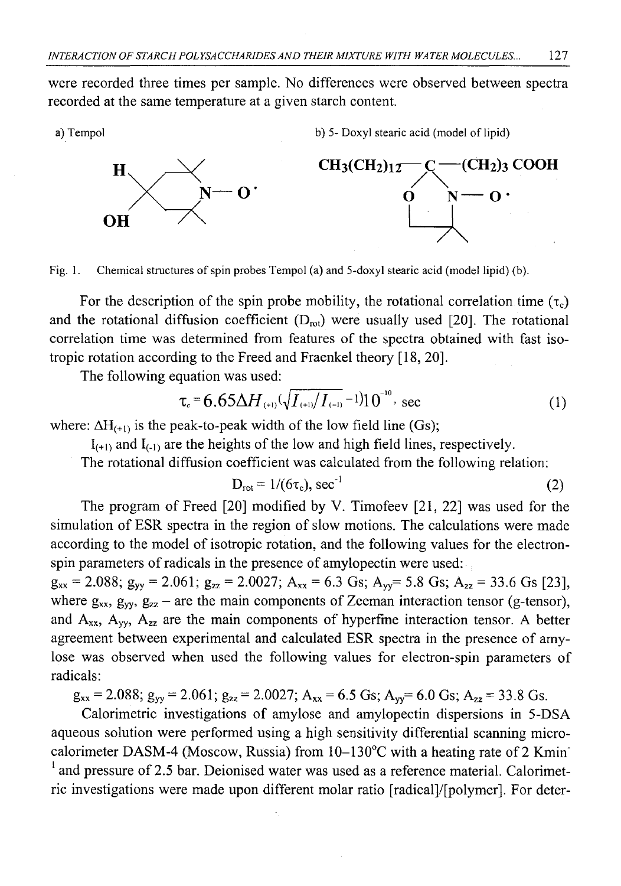were recorded three times per sample. No differences were observed between spectra recorded at the same temperature at a given starch content.

a) Tempol b) 5- Doxyl stearic acid (model of lipid)



Fig. 1. Chemical structures of spin probes Tempol (a) and 5-doxyl stearic acid (model lipid) (b).

For the description of the spin probe mobility, the rotational correlation time  $(\tau_c)$ and the rotational diffusion coefficient  $(D_{\text{rot}})$  were usually used [20]. The rotational correlation time was determined from features of the spectra obtained with fast isotropic rotation according to the Freed and Fraenkel theory [18, 20].

The following equation was used:

$$
\tau_c = 6.65 \Delta H_{(+1)} (\sqrt{I_{(+1)}} / I_{(-1)} - 1) 10^{-10}, \text{ sec}
$$
 (1)

where:  $\Delta H_{(+1)}$  is the peak-to-peak width of the low field line (Gs);

 $I_{(+1)}$  and  $I_{(-1)}$  are the heights of the low and high field lines, respectively.

The rotational diffusion coefficient was calculated from the following relation:

$$
D_{\rm rot} = 1/(6\tau_{\rm c}), \sec^{-1} \tag{2}
$$

The program of Freed [20] modified by V. Timofeev [21, 22] was used for the simulation of ESR spectra in the region of slow motions. The calculations were made according to the model of isotropic rotation, and the following values for the electronspin parameters of radicals in the presence of amylopectin were used:

 $g_{xx} = 2.088$ ;  $g_{yy} = 2.061$ ;  $g_{zz} = 2.0027$ ;  $A_{xx} = 6.3$  Gs;  $A_{yy} = 5.8$  Gs;  $A_{zz} = 33.6$  Gs [23], where  $g_{xx}$ ,  $g_{yy}$ ,  $g_{zz}$  – are the main components of Zeeman interaction tensor (g-tensor), and  $A_{xx}$ ,  $A_{yy}$ ,  $A_{zz}$  are the main components of hyperfine interaction tensor. A better agreement between experimental and calculated ESR spectra in the presence of amylose was observed when used the following values for electron-spin parameters of radicals:

 $g_{xx} = 2.088$ ;  $g_{yy} = 2.061$ ;  $g_{zz} = 2.0027$ ;  $A_{xx} = 6.5$  Gs;  $A_{yy} = 6.0$  Gs;  $A_{zz} = 33.8$  Gs.

Calorimetric investigations of amylose and amylopectin dispersions in 5-DSA aqueous solution were performed using a high sensitivity differential scanning microcalorimeter DASM-4 (Moscow, Russia) from 10-130°C with a heating rate of 2 Kmin'  $<sup>1</sup>$  and pressure of 2.5 bar. Deionised water was used as a reference material. Calorimet-</sup> ric investigations were made upon different molar ratio [radical]/[polymer]. For deter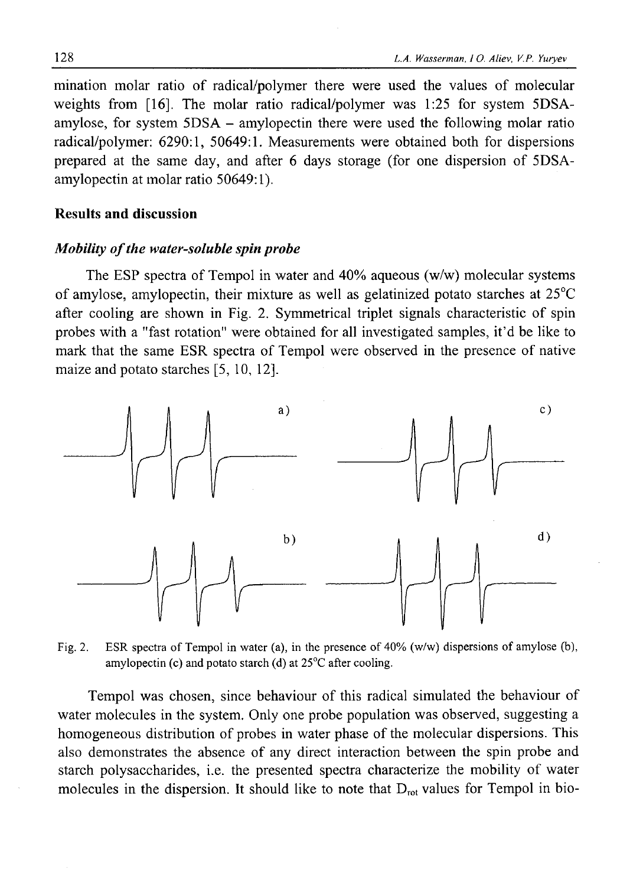mination molar ratio of radical/polymer there were used the values of molecular weights from [16]. The molar ratio radical/polymer was 1:25 for system 5DSAamylose, for system 5DSA - amylopectin there were used the following molar ratio radical/polymer: 6290:1, 50649:1. Measurements were obtained both for dispersions prepared at the same day, and after 6 days storage (for one dispersion of 5DSAamylopectin at molar ratio 50649:1).

# Results and discussion

### *Mobility of the water-soluble spin probe*

The ESP spectra of Tempol in water and 40% aqueous (w/w) molecular systems of amylose, amylopectin, their mixture as well as gelatinized potato starches at 25°C after cooling are shown in Fig. 2. Symmetrical triplet signals characteristic of spin probes with a "fast rotation" were obtained for all investigated samples, it'd be like to mark that the same ESR spectra of Tempol were observed in the presence of native maize and potato starches [5, 10, 12].



Fig. 2. ESR spectra of Tempol in water (a), in the presence of 40% (w/w) dispersions of amylose (b), amylopectin (c) and potato starch (d) at  $25^{\circ}$ C after cooling.

Tempol was chosen, since behaviour of this radical simulated the behaviour of water molecules in the system. Only one probe population was observed, suggesting a homogeneous distribution of probes in water phase of the molecular dispersions. This also demonstrates the absence of any direct interaction between the spin probe and starch polysaccharides, i.e. the presented spectra characterize the mobility of water molecules in the dispersion. It should like to note that  $D_{\text{rot}}$  values for Tempol in bio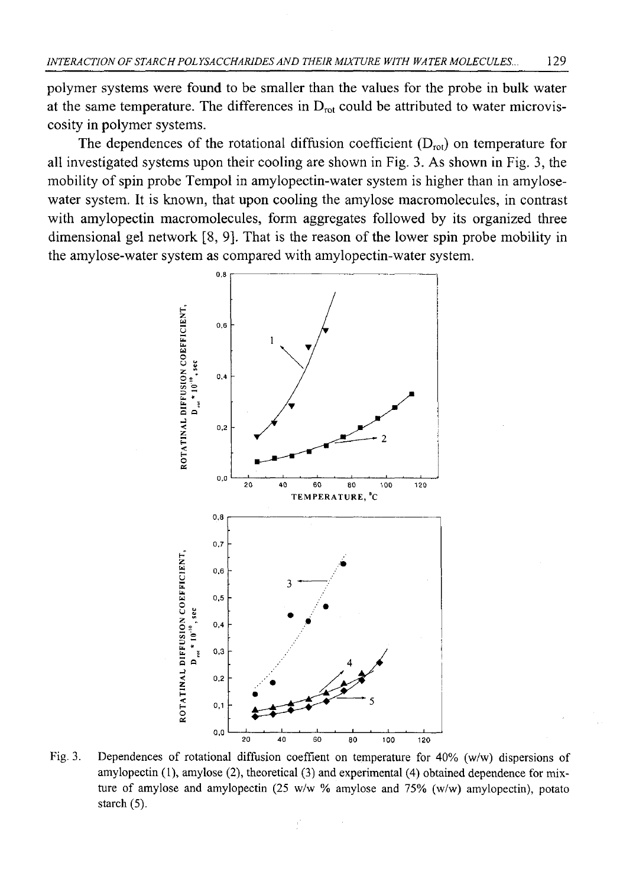polymer systems were found to be smaller than the values for the probe in bulk water at the same temperature. The differences in  $D_{\text{rot}}$  could be attributed to water microviscosity in polymer systems.

The dependences of the rotational diffusion coefficient  $(D_{rot})$  on temperature for all investigated systems upon their cooling are shown in Fig. 3. As shown in Fig. 3, the mobility of spin probe Tempol in amylopectin-water system is higher than in amylosewater system. It is known, that upon cooling the amylose macromolecules, in contrast with amylopectin macromolecules, form aggregates followed by its organized three dimensional gel network [8, 9]. That is the reason of the lower spin probe mobility in the amylose-water system as compared with amylopectin-water system.



Fig. 3. Dependences of rotational diffusion coeffient on temperature for 40% (w/w) dispersions of amylopectin (1), amylose (2), theoretical (3) and experimental (4) obtained dependence for mixture of amylose and amylopectin (25 w/w % amylose and 75% (w/w) amylopectin), potato starch (5).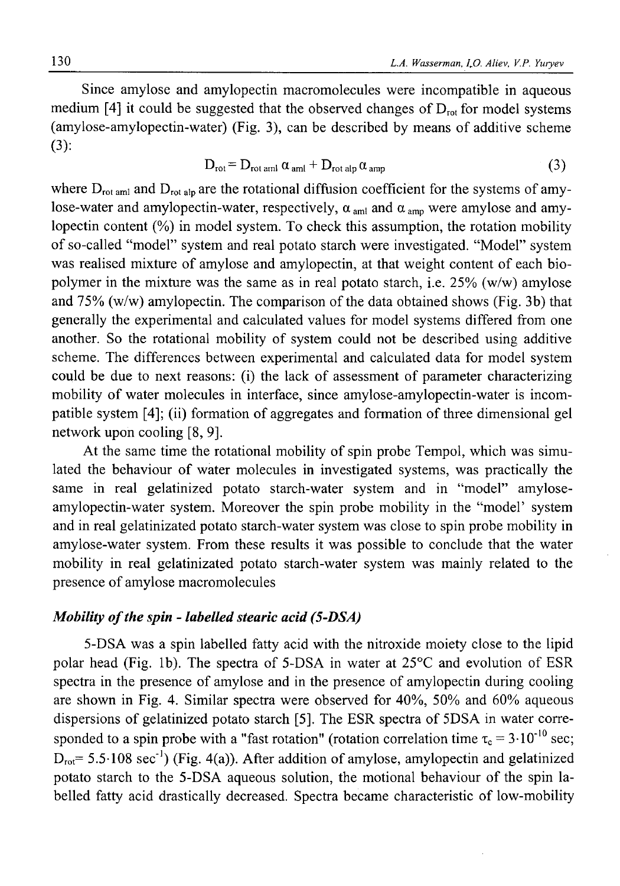Since amylose and amylopectin macromolecules were incompatible in aqueous medium [4] it could be suggested that the observed changes of  $D_{\text{rot}}$  for model systems (amylose-amylopectin-water) (Fig. 3), can be described by means of additive scheme (3):

$$
D_{\text{rot}} = D_{\text{rot arm1}} \alpha_{\text{am1}} + D_{\text{rot alp}} \alpha_{\text{amp}} \tag{3}
$$

where  $D_{\text{rot aml}}$  and  $D_{\text{rot ah}}$  are the rotational diffusion coefficient for the systems of amylose-water and amylopectin-water, respectively,  $\alpha_{\text{aml}}$  and  $\alpha_{\text{amm}}$  were amylose and amylopectin content (%) in model system. To check this assumption, the rotation mobility of so-called "model" system and real potato starch were investigated. "Model" system was realised mixture of amylose and amylopectin, at that weight content of each biopolymer in the mixture was the same as in real potato starch, i.e. 25% (w/w) amylose and 75% (w/w) amylopectin. The comparison of the data obtained shows (Fig. 3b) that generally the experimental and calculated values for model systems differed from one another. So the rotational mobility of system could not be described using additive scheme. The differences between experimental and calculated data for model system could be due to next reasons: (i) the lack of assessment of parameter characterizing mobility of water molecules in interface, since amylose-amylopectin-water is incompatible system [4]; (ii) formation of aggregates and formation of three dimensional gel network upon cooling [8, 9].

At the same time the rotational mobility of spin probe Tempol, which was simulated the behaviour of water molecules in investigated systems, was practically the same in real gelatinized potato starch-water system and in "model" amyloseamylopectin-water system. Moreover the spin probe mobility in the "model' system and in real gelatinizated potato starch-water system was close to spin probe mobility in amylose-water system. From these results it was possible to conclude that the water mobility in real gelatinizated potato starch-water system was mainly related to the presence of amylose macromolecules

## *Mobility of the spin - labelled stearic acid (5-DSA)*

5-DSA was a spin labelled fatty acid with the nitroxide moiety close to the lipid polar head (Fig. lb). The spectra of 5-DSA in water at 25°C and evolution of ESR spectra in the presence of amylose and in the presence of amylopectin during cooling are shown in Fig. 4. Similar spectra were observed for 40%, 50% and 60% aqueous dispersions of gelatinized potato starch [5]. The ESR spectra of 5DSA in water corresponded to a spin probe with a "fast rotation" (rotation correlation time  $\tau_c = 3 \cdot 10^{-10}$  sec;  $D_{\text{rot}}$ = 5.5 $\cdot$ 108 sec<sup>-1</sup>) (Fig. 4(a)). After addition of amylose, amylopectin and gelatinized potato starch to the 5-DSA aqueous solution, the motional behaviour of the spin labelled fatty acid drastically decreased. Spectra became characteristic of low-mobility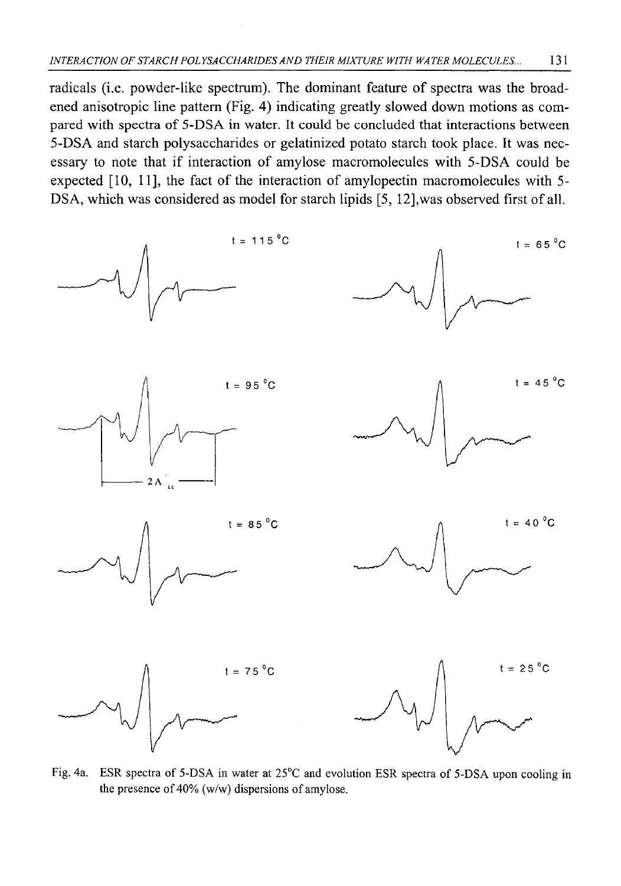radicals (i.e. powder-like spectrum). The dominant feature of spectra was the broadened anisotropic line pattern (Fig. 4) indicating greatly slowed down motions as compared with spectra of 5-DSA in water. It could be concluded that interactions between 5-DSA and starch polysaccharides or gelatinized potato starch took place. It was necessary to note that if interaction of amylose macromolecules with 5-DSA could be expected [10, 11], the fact of the interaction of amylopectin macromolecules with 5- DSA, which was considered as model for starch lipids [5, 12],was observed first of all.



Fig. 4a. ESR spectra of 5-DSA in water at 25°C and evolution ESR spectra of 5-DSA upon cooling in the presence of 40% (w/w) dispersions of amylose.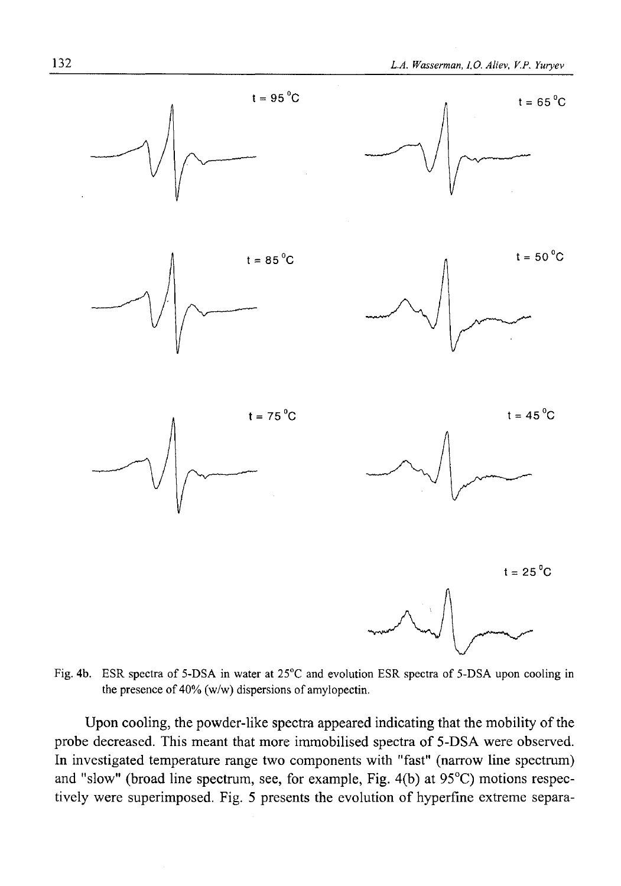

Fig. 4b. ESR spectra of 5-DSA in water at 25°C and evolution ESR spectra of 5-DSA upon cooling in the presence of 40% (w/w) dispersions of amylopectin.

Upon cooling, the powder-like spectra appeared indicating that the mobility of the probe decreased. This meant that more immobilised spectra of 5-DSA were observed. In investigated temperature range two components with "fast" (narrow line spectrum) and "slow" (broad line spectrum, see, for example, Fig. 4(b) at 95°C) motions respectively were superimposed. Fig. 5 presents the evolution of hyperfme extreme separa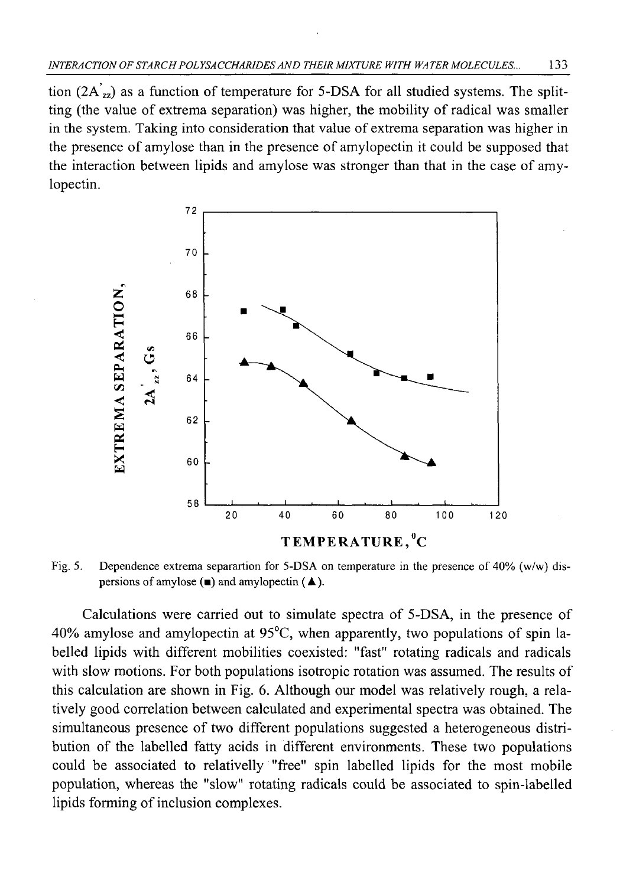tion  $(2A_{zz})$  as a function of temperature for 5-DSA for all studied systems. The splitting (the value of extrema separation) was higher, the mobility of radical was smaller in the system. Taking into consideration that value of extrema separation was higher in the presence of amylose than in the presence of amylopectin it could be supposed that the interaction between lipids and amylose was stronger than that in the case of amylopectin.



Fig. 5. Dependence extrema separartion for 5-DSA on temperature in the presence of 40% (w/w) dispersions of amylose  $(\blacksquare)$  and amylopectin  $(\blacktriangle)$ .

Calculations were carried out to simulate spectra of 5-DSA, in the presence of 40% amylose and amylopectin at 95°C, when apparently, two populations of spin labelled lipids with different mobilities coexisted: "fast" rotating radicals and radicals with slow motions. For both populations isotropic rotation was assumed. The results of this calculation are shown in Fig. 6. Although our model was relatively rough, a relatively good correlation between calculated and experimental spectra was obtained. The simultaneous presence of two different populations suggested a heterogeneous distribution of the labelled fatty acids in different environments. These two populations could be associated to relativelly "free" spin labelled lipids for the most mobile population, whereas the "slow" rotating radicals could be associated to spin-labelled lipids forming of inclusion complexes.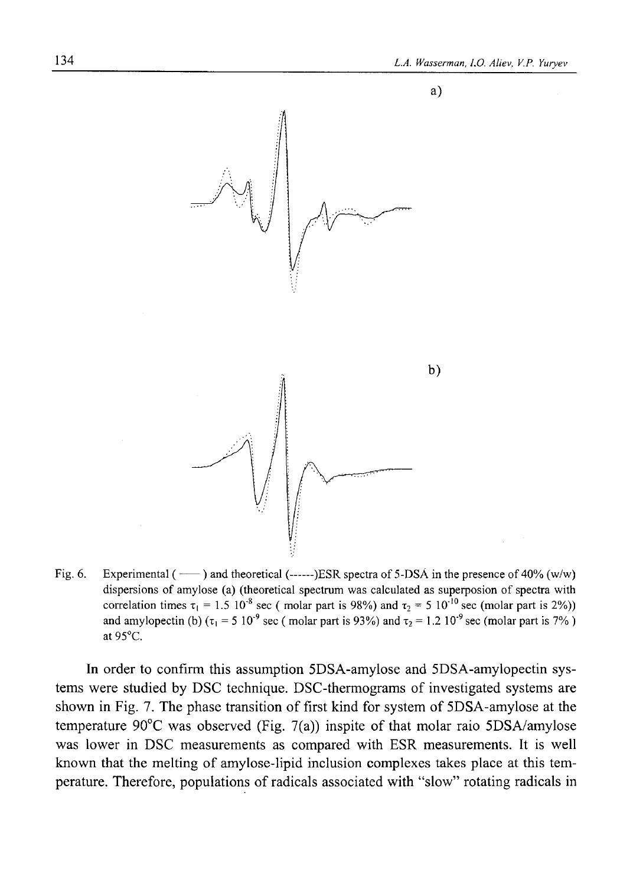

Fig. 6. Experimental ( $-$ ) and theoretical ( $---$ )ESR spectra of 5-DSA in the presence of 40% (w/w) dispersions of amylose (a) (theoretical spectrum was calculated as superposion of spectra with correlation times  $\tau_1 = 1.5 \times 10^{-8}$  sec (molar part is 98%) and  $\tau_2 = 5 \times 10^{-10}$  sec (molar part is 2%)) and amylopectin (b)  $(\tau_1 = 5 \frac{10^9}{9} \text{ sec}$  ( molar part is 93%) and  $\tau_2 = 1.2 \frac{10^{9} \text{ sec}}{90}$  ( molar part is 7%) at 95°C.

In order to confirm this assumption 5DSA-amylose and 5DSA-amylopectin systems were studied by DSC technique. DSC-thermograms of investigated systems are shown in Fig. 7. The phase transition of first kind for system of 5DSA-amylose at the temperature 90°C was observed (Fig. 7(a)) inspite of that molar raio 5DSA/amylose was lower in DSC measurements as compared with ESR measurements. It is well known that the melting of amylose-lipid inclusion complexes takes place at this temperature. Therefore, populations of radicals associated with "slow" rotating radicals in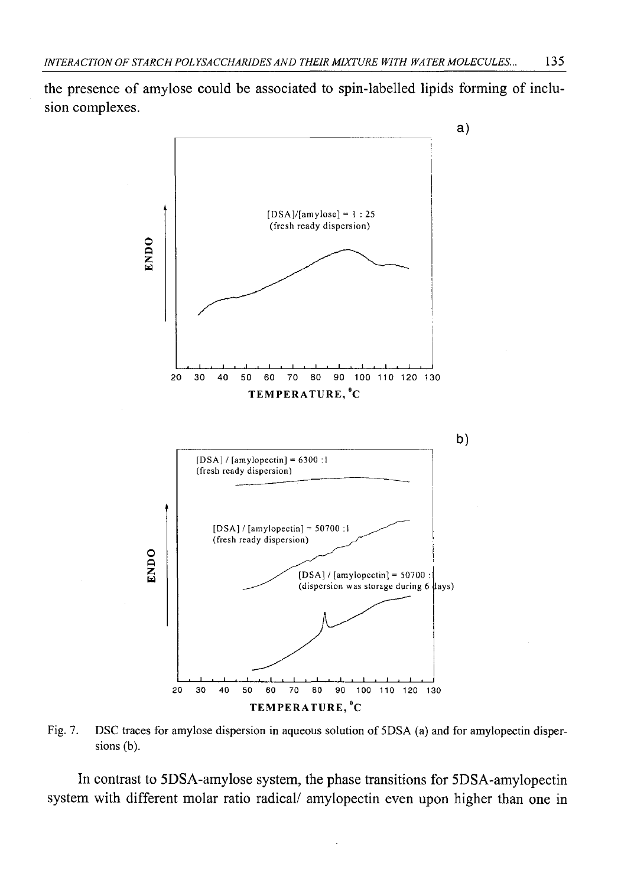the presence of amylose could be associated to spin-labelled lipids forming of inclusion complexes.



Fig. 7. DSC traces for amylose dispersion in aqueous solution of 5DSA (a) and for amylopectin dispersions (b).

In contrast to 5DSA-amylose system, the phase transitions for 5DSA-amylopectin system with different molar ratio radical/ amylopectin even upon higher than one in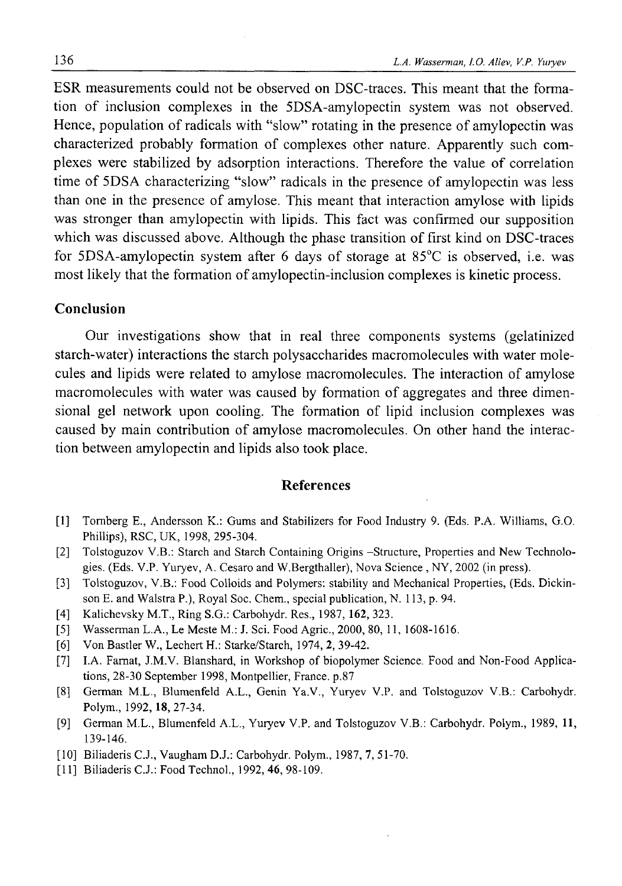ESR measurements could not be observed on DSC-traces. This meant that the formation of inclusion complexes in the 5DSA-amylopectin system was not observed. Hence, population of radicals with "slow" rotating in the presence of amylopectin was characterized probably formation of complexes other nature. Apparently such complexes were stabilized by adsorption interactions. Therefore the value of correlation time of 5DSA characterizing "slow" radicals in the presence of amylopectin was less than one in the presence of amylose. This meant that interaction amylose with lipids was stronger than amylopectin with lipids. This fact was confirmed our supposition which was discussed above. Although the phase transition of first kind on DSC-traces for 5DSA-amylopectin system after 6 days of storage at 85°C is observed, i.e. was most likely that the formation of amylopectin-inclusion complexes is kinetic process.

#### **Conclusion**

Our investigations show that in real three components systems (gelatinized starch-water) interactions the starch polysaccharides macromolecules with water molecules and lipids were related to amylose macromolecules. The interaction of amylose macromolecules with water was caused by formation of aggregates and three dimensional gel network upon cooling. The formation of lipid inclusion complexes was caused by main contribution of amylose macromolecules. On other hand the interaction between amylopectin and lipids also took place.

### **References**

- [1] Tomberg E., Andersson K.: Gums and Stabilizers for Food Industry 9. (Eds. P.A. Williams, G.O. Phillips), RSC, UK, 1998, 295-304.
- [2] Tolstoguzov V.B.: Starch and Starch Containing Origins -Structure, Properties and New Technologies. (Eds. V.P. Yuryev, A. Cesaro and W.Bergthaller), Nova Science , NY, 2002 (in press).
- [3] Tolstoguzov, V.B.: Food Colloids and Polymers: stability and Mechanical Properties, (Eds. Dickinson E. and Walstra P.), Royal Soc. Chem., special publication, N. 113, p. 94.
- [4] Kalichevsky M.T., Ring S.G.: Carbohydr. Res., 1987, 162, 323.
- [5] Wasserman L.A., Le Meste M.: J. Sci. Food Agric., 2000, 80, 11, 1608-1616.
- [6] Von Bastler W., Lechert H.: Starke/Starch, 1974, 2, 39-42.
- [7] I.A. Famat, J.M.V. Blanshard, in Workshop of biopolymer Science. Food and Non-Food Applications, 28-30 September 1998, Montpellier, France, p.87
- [8] German M.L., Blumenfeld A.L., Genin Ya.V., Yuryev V.P. and Tolstoguzov V.B.: Carbohydr. Polym., 1992,18,27-34.
- [9] German M.L., Blumenfeld A.L., Yuryev V.P. and Tolstoguzov V.B.: Carbohydr. Polym., 1989, 11, 139-146.
- [10] Biliaderis C.J., Vaugham D.J.: Carbohydr. Polym., 1987, 7, 51-70.
- [11] Biliaderis C.J.: Food Technol., 1992, 46, 98-109.